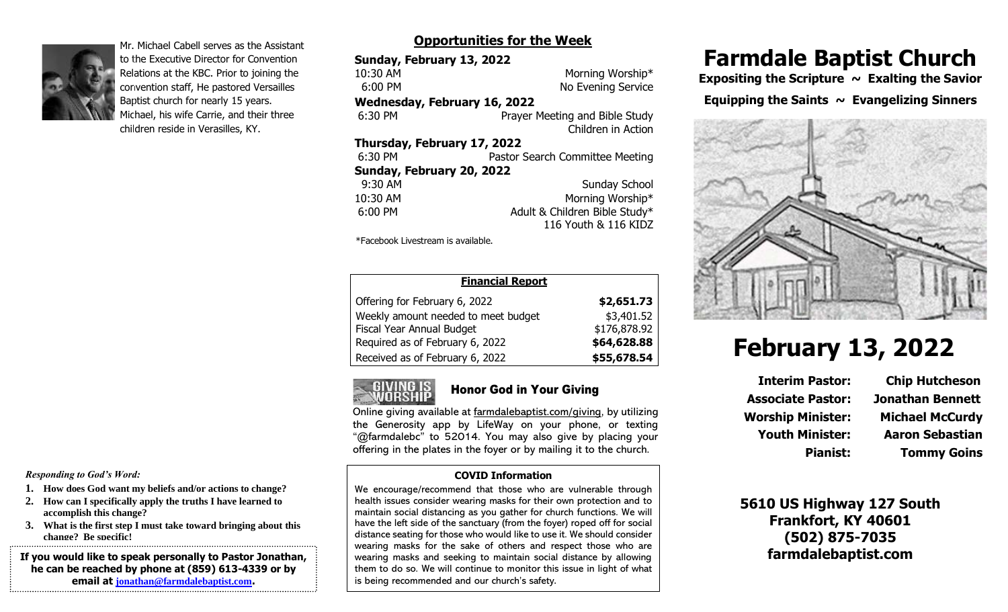

Mr. Michael Cabell serves as the Assistant to the Executive Director for Convention Relations at the KBC. Prior to joining the convention staff, He pastored Versailles Baptist church for nearly 15 years. Michael, his wife Carrie, and their three children reside in Verasilles, KY.

# **Opportunities for the Week**

| Sunday, February 13, 2022           |                                 |
|-------------------------------------|---------------------------------|
| 10:30 AM                            | Morning Worship*                |
| $6:00$ PM                           | No Evening Service              |
| <b>Wednesday, February 16, 2022</b> |                                 |
| 6:30 PM                             | Prayer Meeting and Bible Study  |
|                                     | Children in Action              |
| Thursday, February 17, 2022         |                                 |
| 6:30 PM                             | Pastor Search Committee Meeting |
| Sunday, February 20, 2022           |                                 |
| 9:30 AM                             | <b>Sunday School</b>            |
| 10:30 AM                            | Morning Worship*                |
| $6:00$ PM                           | Adult & Children Bible Study*   |
|                                     | 116 Youth & 116 KIDZ            |

\*Facebook Livestream is available.

| <b>Financial Report</b>             |              |  |
|-------------------------------------|--------------|--|
| Offering for February 6, 2022       | \$2,651.73   |  |
| Weekly amount needed to meet budget | \$3,401.52   |  |
| Fiscal Year Annual Budget           | \$176,878.92 |  |
| Required as of February 6, 2022     | \$64,628.88  |  |
| Received as of February 6, 2022     | \$55,678.54  |  |



#### Honor God in Your Giving

Online giving available at farmdalebaptist.com/giving, by utilizing the Generosity app by LifeWay on your phone, or texting "@farmdalebc" to 52014. You may also give by placing your offering in the plates in the foyer or by mailing it to the church.

#### **COVID Information**

We encourage/recommend that those who are vulnerable through health issues consider wearing masks for their own protection and to maintain social distancing as you gather for church functions. We will have the left side of the sanctuary (from the foyer) roped off for social distance seating for those who would like to use it. We should consider wearing masks for the sake of others and respect those who are wearing masks and seeking to maintain social distance by allowing them to do so. We will continue to monitor this issue in light of what is being recommended and our church's safety.

# **Farmdale Baptist Church**

Expositing the Scripture ~ Exalting the Savior **Equipping the Saints**  $\sim$  **Evangelizing Sinners** 



# **February 13, 2022**

**Interim Pastor: Chip Hutcheson Associate Pastor: Jonathan Bennett Worship Minister: Michael McCurdy Youth Minister: Aaron Sebastian**

**Pianist: Tommy Goins**

**5610 US Highway 127 South Frankfort, KY 40601 (502) 875-7035 farmdalebaptist.com**

*Responding to God's Word:*

- **1. How does God want my beliefs and/or actions to change?**
- **2. How can I specifically apply the truths I have learned to accomplish this change?**
- **3. What is the first step I must take toward bringing about this change? Be specific!**

**If you would like to speak personally to Pastor Jonathan, he can be reached by phone at (859) 613-4339 or by email at [jonathan@farmdalebaptist.com](mailto:jonathan@farmdalebaptist.com).**